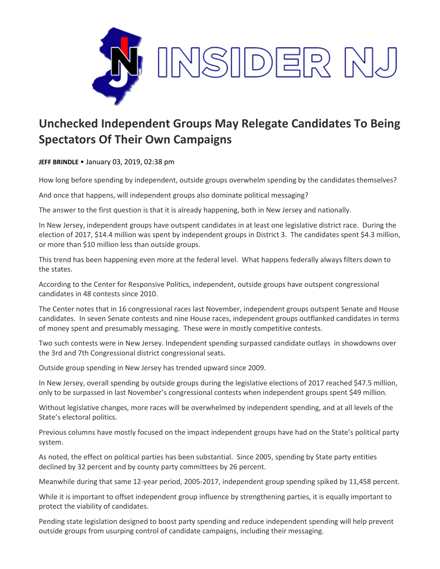

## **Unchecked Independent Groups May Relegate Candidates To Being Spectators Of Their Own Campaigns**

**JEFF BRINDLE** • January 03, 2019, 02:38 pm

How long before spending by independent, outside groups overwhelm spending by the candidates themselves?

And once that happens, will independent groups also dominate political messaging?

The answer to the first question is that it is already happening, both in New Jersey and nationally.

In New Jersey, independent groups have outspent candidates in at least one legislative district race. During the election of 2017, \$14.4 million was spent by independent groups in District 3. The candidates spent \$4.3 million, or more than \$10 million less than outside groups.

This trend has been happening even more at the federal level. What happens federally always filters down to the states.

According to the Center for Responsive Politics, independent, outside groups have outspent congressional candidates in 48 contests since 2010.

The Center notes that in 16 congressional races last November, independent groups outspent Senate and House candidates. In seven Senate contests and nine House races, independent groups outflanked candidates in terms of money spent and presumably messaging. These were in mostly competitive contests.

Two such contests were in New Jersey. Independent spending surpassed candidate outlays in showdowns over the 3rd and 7th Congressional district congressional seats.

Outside group spending in New Jersey has trended upward since 2009.

In New Jersey, overall spending by outside groups during the legislative elections of 2017 reached \$47.5 million, only to be surpassed in last November's congressional contests when independent groups spent \$49 million.

Without legislative changes, more races will be overwhelmed by independent spending, and at all levels of the State's electoral politics.

Previous columns have mostly focused on the impact independent groups have had on the State's political party system.

As noted, the effect on political parties has been substantial. Since 2005, spending by State party entities declined by 32 percent and by county party committees by 26 percent.

Meanwhile during that same 12-year period, 2005-2017, independent group spending spiked by 11,458 percent.

While it is important to offset independent group influence by strengthening parties, it is equally important to protect the viability of candidates.

Pending state legislation designed to boost party spending and reduce independent spending will help prevent outside groups from usurping control of candidate campaigns, including their messaging.